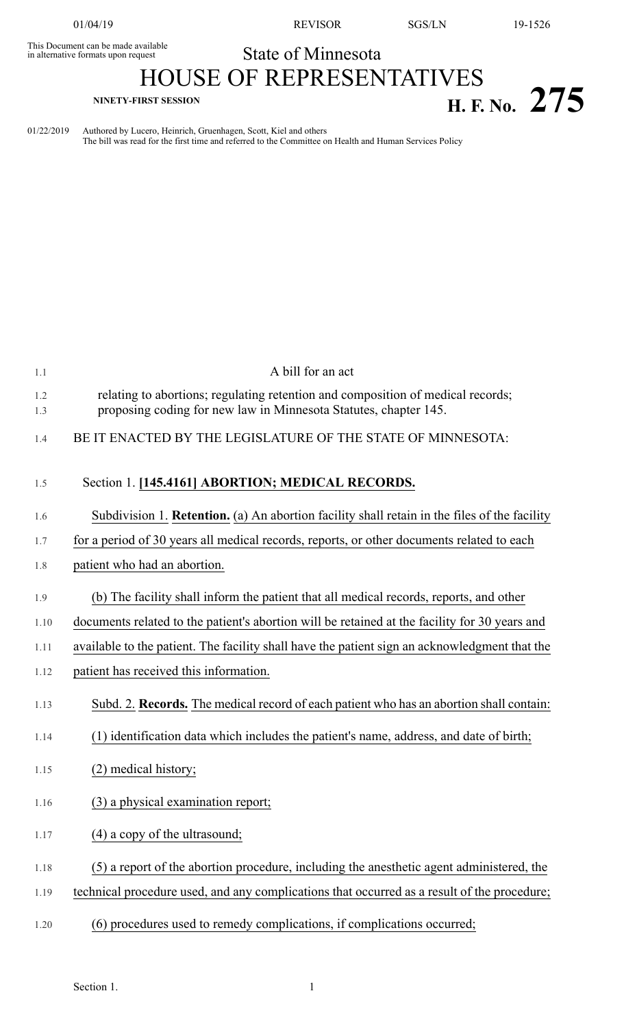This Document can be made available<br>in alternative formats upon request

01/04/19 REVISOR SGS/LN 19-1526

## State of Minnesota

## HOUSE OF REPRESENTATIVES **NINETY-FIRST SESSION H. F. No. 275**

01/22/2019 Authored by Lucero, Heinrich, Gruenhagen, Scott, Kiel and others The bill was read for the first time and referred to the Committee on Health and Human Services Policy

| 1.1        | A bill for an act                                                                                                                                   |
|------------|-----------------------------------------------------------------------------------------------------------------------------------------------------|
| 1.2<br>1.3 | relating to abortions; regulating retention and composition of medical records;<br>proposing coding for new law in Minnesota Statutes, chapter 145. |
| 1.4        | BE IT ENACTED BY THE LEGISLATURE OF THE STATE OF MINNESOTA:                                                                                         |
| 1.5        | Section 1. [145.4161] ABORTION; MEDICAL RECORDS.                                                                                                    |
| 1.6        | Subdivision 1. <b>Retention.</b> (a) An abortion facility shall retain in the files of the facility                                                 |
| 1.7        | for a period of 30 years all medical records, reports, or other documents related to each                                                           |
| 1.8        | patient who had an abortion.                                                                                                                        |
| 1.9        | (b) The facility shall inform the patient that all medical records, reports, and other                                                              |
| 1.10       | documents related to the patient's abortion will be retained at the facility for 30 years and                                                       |
| 1.11       | available to the patient. The facility shall have the patient sign an acknowledgment that the                                                       |
| 1.12       | patient has received this information.                                                                                                              |
| 1.13       | Subd. 2. <b>Records.</b> The medical record of each patient who has an abortion shall contain:                                                      |
| 1.14       | (1) identification data which includes the patient's name, address, and date of birth;                                                              |
| 1.15       | (2) medical history;                                                                                                                                |
| 1.16       | (3) a physical examination report;                                                                                                                  |
| 1.17       | $(4)$ a copy of the ultrasound;                                                                                                                     |
| 1.18       | (5) a report of the abortion procedure, including the anesthetic agent administered, the                                                            |
| 1.19       | technical procedure used, and any complications that occurred as a result of the procedure;                                                         |
| 1.20       | (6) procedures used to remedy complications, if complications occurred;                                                                             |